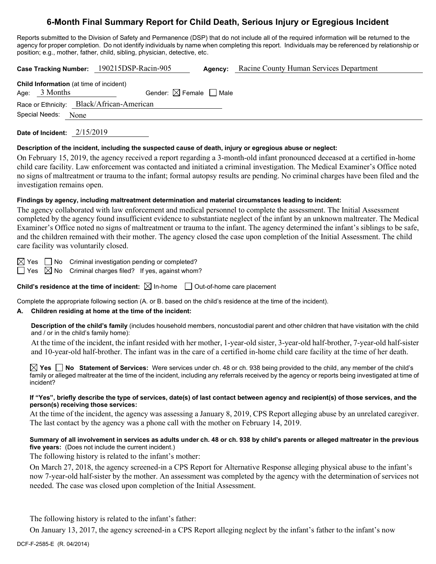# **6-Month Final Summary Report for Child Death, Serious Injury or Egregious Incident**

Reports submitted to the Division of Safety and Permanence (DSP) that do not include all of the required information will be returned to the agency for proper completion. Do not identify individuals by name when completing this report. Individuals may be referenced by relationship or position; e.g., mother, father, child, sibling, physician, detective, etc.

|                                         | Case Tracking Number: 190215DSP-Racin-905 | <b>Agency:</b> Racine County Human Services Department |  |
|-----------------------------------------|-------------------------------------------|--------------------------------------------------------|--|
| Child Information (at time of incident) |                                           |                                                        |  |

|  | Age: $3$ Months     | Gender: $\boxtimes$ Female $\Box$ Male    |  |  |
|--|---------------------|-------------------------------------------|--|--|
|  |                     | Race or Ethnicity: Black/African-American |  |  |
|  | Special Needs: None |                                           |  |  |
|  |                     |                                           |  |  |

**Date of Incident:** 2/15/2019

### **Description of the incident, including the suspected cause of death, injury or egregious abuse or neglect:**

On February 15, 2019, the agency received a report regarding a 3-month-old infant pronounced deceased at a certified in-home child care facility. Law enforcement was contacted and initiated a criminal investigation. The Medical Examiner's Office noted no signs of maltreatment or trauma to the infant; formal autopsy results are pending. No criminal charges have been filed and the investigation remains open.

# **Findings by agency, including maltreatment determination and material circumstances leading to incident:**

The agency collaborated with law enforcement and medical personnel to complete the assessment. The Initial Assessment completed by the agency found insufficient evidence to substantiate neglect of the infant by an unknown maltreater. The Medical Examiner's Office noted no signs of maltreatment or trauma to the infant. The agency determined the infant's siblings to be safe, and the children remained with their mother. The agency closed the case upon completion of the Initial Assessment. The child care facility was voluntarily closed.

 $\boxtimes$  Yes  $\Box$  No Criminal investigation pending or completed?

 $\Box$  Yes  $\boxtimes$  No Criminal charges filed? If yes, against whom?

**Child's residence at the time of incident:**  $\boxtimes$  In-home  $\Box$  Out-of-home care placement

Complete the appropriate following section (A. or B. based on the child's residence at the time of the incident).

# **A. Children residing at home at the time of the incident:**

**Description of the child's family** (includes household members, noncustodial parent and other children that have visitation with the child and / or in the child's family home):

At the time of the incident, the infant resided with her mother, 1-year-old sister, 3-year-old half-brother, 7-year-old half-sister and 10-year-old half-brother. The infant was in the care of a certified in-home child care facility at the time of her death.

**Yes No Statement of Services:** Were services under ch. 48 or ch. 938 being provided to the child, any member of the child's family or alleged maltreater at the time of the incident, including any referrals received by the agency or reports being investigated at time of incident?

#### **If "Yes", briefly describe the type of services, date(s) of last contact between agency and recipient(s) of those services, and the person(s) receiving those services:**

At the time of the incident, the agency was assessing a January 8, 2019, CPS Report alleging abuse by an unrelated caregiver. The last contact by the agency was a phone call with the mother on February 14, 2019.

# **Summary of all involvement in services as adults under ch. 48 or ch. 938 by child's parents or alleged maltreater in the previous five years:** (Does not include the current incident.)

The following history is related to the infant's mother:

On March 27, 2018, the agency screened-in a CPS Report for Alternative Response alleging physical abuse to the infant's now 7-year-old half-sister by the mother. An assessment was completed by the agency with the determination of services not needed. The case was closed upon completion of the Initial Assessment.

The following history is related to the infant's father:

On January 13, 2017, the agency screened-in a CPS Report alleging neglect by the infant's father to the infant's now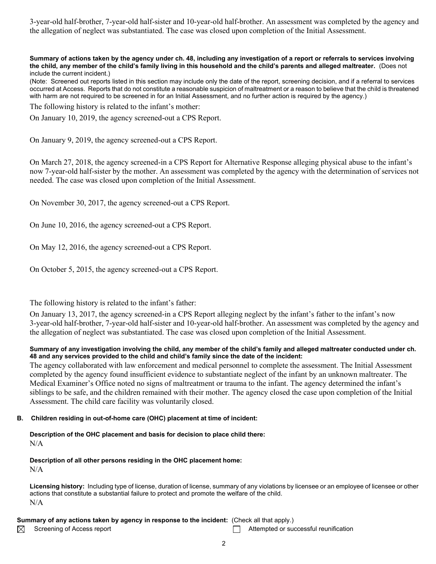3-year-old half-brother, 7-year-old half-sister and 10-year-old half-brother. An assessment was completed by the agency and the allegation of neglect was substantiated. The case was closed upon completion of the Initial Assessment.

**Summary of actions taken by the agency under ch. 48, including any investigation of a report or referrals to services involving the child, any member of the child's family living in this household and the child's parents and alleged maltreater.** (Does not include the current incident.)

(Note: Screened out reports listed in this section may include only the date of the report, screening decision, and if a referral to services occurred at Access. Reports that do not constitute a reasonable suspicion of maltreatment or a reason to believe that the child is threatened with harm are not required to be screened in for an Initial Assessment, and no further action is required by the agency.)

The following history is related to the infant's mother:

On January 10, 2019, the agency screened-out a CPS Report.

On January 9, 2019, the agency screened-out a CPS Report.

On March 27, 2018, the agency screened-in a CPS Report for Alternative Response alleging physical abuse to the infant's now 7-year-old half-sister by the mother. An assessment was completed by the agency with the determination of services not needed. The case was closed upon completion of the Initial Assessment.

On November 30, 2017, the agency screened-out a CPS Report.

On June 10, 2016, the agency screened-out a CPS Report.

On May 12, 2016, the agency screened-out a CPS Report.

On October 5, 2015, the agency screened-out a CPS Report.

The following history is related to the infant's father:

On January 13, 2017, the agency screened-in a CPS Report alleging neglect by the infant's father to the infant's now 3-year-old half-brother, 7-year-old half-sister and 10-year-old half-brother. An assessment was completed by the agency and the allegation of neglect was substantiated. The case was closed upon completion of the Initial Assessment.

#### **Summary of any investigation involving the child, any member of the child's family and alleged maltreater conducted under ch. 48 and any services provided to the child and child's family since the date of the incident:**

The agency collaborated with law enforcement and medical personnel to complete the assessment. The Initial Assessment completed by the agency found insufficient evidence to substantiate neglect of the infant by an unknown maltreater. The Medical Examiner's Office noted no signs of maltreatment or trauma to the infant. The agency determined the infant's siblings to be safe, and the children remained with their mother. The agency closed the case upon completion of the Initial Assessment. The child care facility was voluntarily closed.

#### **B. Children residing in out-of-home care (OHC) placement at time of incident:**

**Description of the OHC placement and basis for decision to place child there:** N/A

**Description of all other persons residing in the OHC placement home:**

N/A

**Licensing history:** Including type of license, duration of license, summary of any violations by licensee or an employee of licensee or other actions that constitute a substantial failure to protect and promote the welfare of the child. N/A

#### **Summary of any actions taken by agency in response to the incident:** (Check all that apply.)

⊠

Screening of Access report Attempted or successful reunification